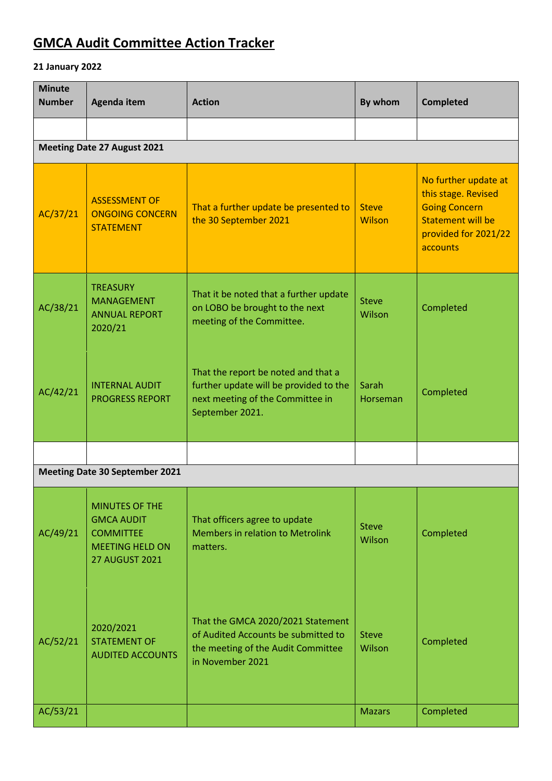## **GMCA Audit Committee Action Tracker**

## **21 January 2022**

| <b>Minute</b><br><b>Number</b> | Agenda item                                                                                                       | <b>Action</b>                                                                                                                        | By whom                       | <b>Completed</b>                                                                                                                    |
|--------------------------------|-------------------------------------------------------------------------------------------------------------------|--------------------------------------------------------------------------------------------------------------------------------------|-------------------------------|-------------------------------------------------------------------------------------------------------------------------------------|
|                                |                                                                                                                   |                                                                                                                                      |                               |                                                                                                                                     |
|                                | <b>Meeting Date 27 August 2021</b>                                                                                |                                                                                                                                      |                               |                                                                                                                                     |
| AC/37/21                       | <b>ASSESSMENT OF</b><br><b>ONGOING CONCERN</b><br><b>STATEMENT</b>                                                | That a further update be presented to<br>the 30 September 2021                                                                       | <b>Steve</b><br><b>Wilson</b> | No further update at<br>this stage. Revised<br><b>Going Concern</b><br><b>Statement will be</b><br>provided for 2021/22<br>accounts |
| AC/38/21                       | <b>TREASURY</b><br><b>MANAGEMENT</b><br><b>ANNUAL REPORT</b><br>2020/21                                           | That it be noted that a further update<br>on LOBO be brought to the next<br>meeting of the Committee.                                | <b>Steve</b><br>Wilson        | Completed                                                                                                                           |
| AC/42/21                       | <b>INTERNAL AUDIT</b><br><b>PROGRESS REPORT</b>                                                                   | That the report be noted and that a<br>further update will be provided to the<br>next meeting of the Committee in<br>September 2021. | Sarah<br>Horseman             | Completed                                                                                                                           |
|                                |                                                                                                                   |                                                                                                                                      |                               |                                                                                                                                     |
|                                | <b>Meeting Date 30 September 2021</b>                                                                             |                                                                                                                                      |                               |                                                                                                                                     |
| AC/49/21                       | <b>MINUTES OF THE</b><br><b>GMCA AUDIT</b><br><b>COMMITTEE</b><br><b>MEETING HELD ON</b><br><b>27 AUGUST 2021</b> | That officers agree to update<br><b>Members in relation to Metrolink</b><br>matters.                                                 | <b>Steve</b><br>Wilson        | Completed                                                                                                                           |
| AC/52/21                       | 2020/2021<br><b>STATEMENT OF</b><br><b>AUDITED ACCOUNTS</b>                                                       | That the GMCA 2020/2021 Statement<br>of Audited Accounts be submitted to<br>the meeting of the Audit Committee<br>in November 2021   | <b>Steve</b><br>Wilson        | Completed                                                                                                                           |
| AC/53/21                       |                                                                                                                   |                                                                                                                                      | <b>Mazars</b>                 | Completed                                                                                                                           |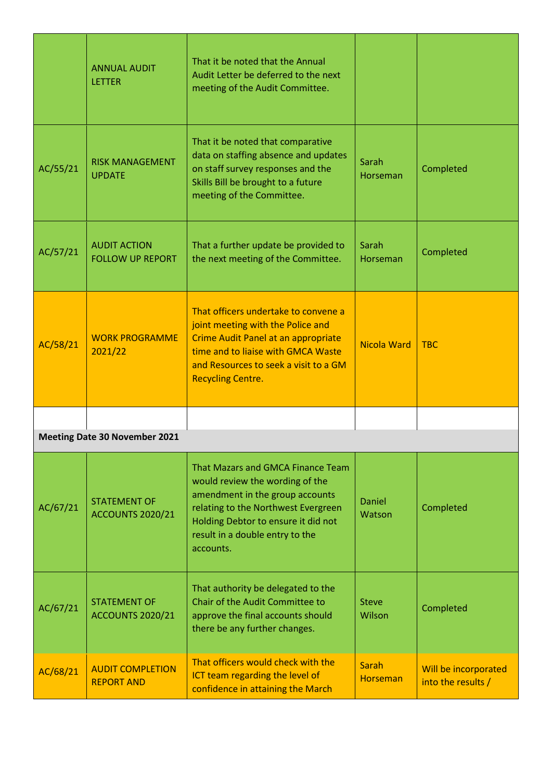|          | <b>ANNUAL AUDIT</b><br><b>LETTER</b>           | That it be noted that the Annual<br>Audit Letter be deferred to the next<br>meeting of the Audit Committee.                                                                                                                           |                                 |                                            |
|----------|------------------------------------------------|---------------------------------------------------------------------------------------------------------------------------------------------------------------------------------------------------------------------------------------|---------------------------------|--------------------------------------------|
| AC/55/21 | <b>RISK MANAGEMENT</b><br><b>UPDATE</b>        | That it be noted that comparative<br>data on staffing absence and updates<br>on staff survey responses and the<br>Skills Bill be brought to a future<br>meeting of the Committee.                                                     | Sarah<br>Horseman               | Completed                                  |
| AC/57/21 | <b>AUDIT ACTION</b><br><b>FOLLOW UP REPORT</b> | That a further update be provided to<br>the next meeting of the Committee.                                                                                                                                                            | Sarah<br>Horseman               | Completed                                  |
| AC/58/21 | <b>WORK PROGRAMME</b><br>2021/22               | That officers undertake to convene a<br>joint meeting with the Police and<br>Crime Audit Panel at an appropriate<br>time and to liaise with GMCA Waste<br>and Resources to seek a visit to a GM<br><b>Recycling Centre.</b>           | <b>Nicola Ward</b>              | <b>TBC</b>                                 |
|          |                                                |                                                                                                                                                                                                                                       |                                 |                                            |
|          | <b>Meeting Date 30 November 2021</b>           |                                                                                                                                                                                                                                       |                                 |                                            |
| AC/67/21 | <b>STATEMENT OF</b><br><b>ACCOUNTS 2020/21</b> | That Mazars and GMCA Finance Team<br>would review the wording of the<br>amendment in the group accounts<br>relating to the Northwest Evergreen<br>Holding Debtor to ensure it did not<br>result in a double entry to the<br>accounts. | Daniel<br>Watson                | Completed                                  |
| AC/67/21 | <b>STATEMENT OF</b><br><b>ACCOUNTS 2020/21</b> | That authority be delegated to the<br>Chair of the Audit Committee to<br>approve the final accounts should<br>there be any further changes.                                                                                           | <b>Steve</b><br>Wilson          | Completed                                  |
| AC/68/21 | <b>AUDIT COMPLETION</b><br><b>REPORT AND</b>   | That officers would check with the<br>ICT team regarding the level of<br>confidence in attaining the March                                                                                                                            | <b>Sarah</b><br><b>Horseman</b> | Will be incorporated<br>into the results / |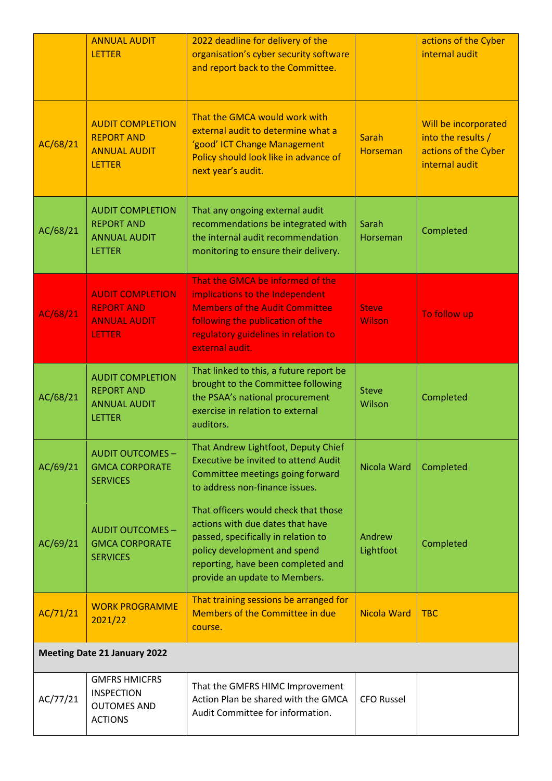|          | <b>ANNUAL AUDIT</b><br><b>LETTER</b>                                                 | 2022 deadline for delivery of the<br>organisation's cyber security software<br>and report back to the Committee.                                                                                                       |                                 | actions of the Cyber<br>internal audit                                               |
|----------|--------------------------------------------------------------------------------------|------------------------------------------------------------------------------------------------------------------------------------------------------------------------------------------------------------------------|---------------------------------|--------------------------------------------------------------------------------------|
| AC/68/21 | <b>AUDIT COMPLETION</b><br><b>REPORT AND</b><br><b>ANNUAL AUDIT</b><br><b>LETTER</b> | That the GMCA would work with<br>external audit to determine what a<br>'good' ICT Change Management<br>Policy should look like in advance of<br>next year's audit.                                                     | <b>Sarah</b><br><b>Horseman</b> | Will be incorporated<br>into the results /<br>actions of the Cyber<br>internal audit |
| AC/68/21 | <b>AUDIT COMPLETION</b><br><b>REPORT AND</b><br><b>ANNUAL AUDIT</b><br><b>LETTER</b> | That any ongoing external audit<br>recommendations be integrated with<br>the internal audit recommendation<br>monitoring to ensure their delivery.                                                                     | Sarah<br>Horseman               | Completed                                                                            |
| AC/68/21 | <b>AUDIT COMPLETION</b><br><b>REPORT AND</b><br><b>ANNUAL AUDIT</b><br><b>LETTER</b> | That the GMCA be informed of the<br>implications to the Independent<br><b>Members of the Audit Committee</b><br>following the publication of the<br>regulatory guidelines in relation to<br>external audit.            | <b>Steve</b><br><b>Wilson</b>   | To follow up                                                                         |
| AC/68/21 | <b>AUDIT COMPLETION</b><br><b>REPORT AND</b><br><b>ANNUAL AUDIT</b><br><b>LETTER</b> | That linked to this, a future report be<br>brought to the Committee following<br>the PSAA's national procurement<br>exercise in relation to external<br>auditors.                                                      | <b>Steve</b><br>Wilson          | Completed                                                                            |
| AC/69/21 | <b>AUDIT OUTCOMES -</b><br><b>GMCA CORPORATE</b><br><b>SERVICES</b>                  | That Andrew Lightfoot, Deputy Chief<br><b>Executive be invited to attend Audit</b><br>Committee meetings going forward<br>to address non-finance issues.                                                               | Nicola Ward                     | Completed                                                                            |
| AC/69/21 | <b>AUDIT OUTCOMES -</b><br><b>GMCA CORPORATE</b><br><b>SERVICES</b>                  | That officers would check that those<br>actions with due dates that have<br>passed, specifically in relation to<br>policy development and spend<br>reporting, have been completed and<br>provide an update to Members. | Andrew<br>Lightfoot             | Completed                                                                            |
| AC/71/21 | <b>WORK PROGRAMME</b><br>2021/22                                                     | That training sessions be arranged for<br>Members of the Committee in due<br>course.                                                                                                                                   | <b>Nicola Ward</b>              | <b>TBC</b>                                                                           |
|          | <b>Meeting Date 21 January 2022</b>                                                  |                                                                                                                                                                                                                        |                                 |                                                                                      |
| AC/77/21 | <b>GMFRS HMICFRS</b><br><b>INSPECTION</b><br><b>OUTOMES AND</b><br><b>ACTIONS</b>    | That the GMFRS HIMC Improvement<br>Action Plan be shared with the GMCA<br>Audit Committee for information.                                                                                                             | <b>CFO Russel</b>               |                                                                                      |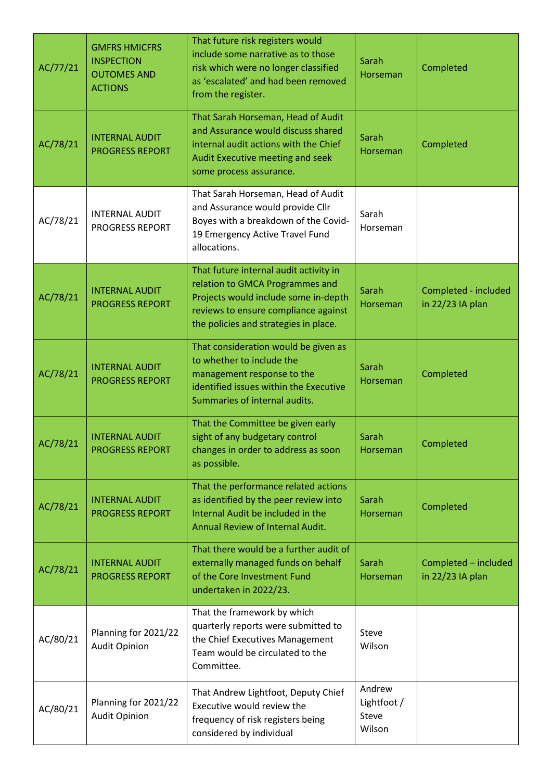| AC/77/21 | <b>GMFRS HMICFRS</b><br><b>INSPECTION</b><br><b>OUTOMES AND</b><br><b>ACTIONS</b> | That future risk registers would<br>include some narrative as to those<br>risk which were no longer classified<br>as 'escalated' and had been removed<br>from the register.                        | Sarah<br>Horseman                        | Completed                                |
|----------|-----------------------------------------------------------------------------------|----------------------------------------------------------------------------------------------------------------------------------------------------------------------------------------------------|------------------------------------------|------------------------------------------|
| AC/78/21 | <b>INTERNAL AUDIT</b><br><b>PROGRESS REPORT</b>                                   | That Sarah Horseman, Head of Audit<br>and Assurance would discuss shared<br>internal audit actions with the Chief<br>Audit Executive meeting and seek<br>some process assurance.                   | Sarah<br>Horseman                        | Completed                                |
| AC/78/21 | <b>INTERNAL AUDIT</b><br><b>PROGRESS REPORT</b>                                   | That Sarah Horseman, Head of Audit<br>and Assurance would provide Cllr<br>Boyes with a breakdown of the Covid-<br>19 Emergency Active Travel Fund<br>allocations.                                  | Sarah<br>Horseman                        |                                          |
| AC/78/21 | <b>INTERNAL AUDIT</b><br><b>PROGRESS REPORT</b>                                   | That future internal audit activity in<br>relation to GMCA Programmes and<br>Projects would include some in-depth<br>reviews to ensure compliance against<br>the policies and strategies in place. | Sarah<br>Horseman                        | Completed - included<br>in 22/23 IA plan |
| AC/78/21 | <b>INTERNAL AUDIT</b><br><b>PROGRESS REPORT</b>                                   | That consideration would be given as<br>to whether to include the<br>management response to the<br>identified issues within the Executive<br>Summaries of internal audits.                         | Sarah<br>Horseman                        | Completed                                |
| AC/78/21 | <b>INTERNAL AUDIT</b><br>PROGRESS REPORT                                          | That the Committee be given early<br>sight of any budgetary control<br>changes in order to address as soon<br>as possible.                                                                         | Sarah<br>Horseman                        | Completed                                |
| AC/78/21 | <b>INTERNAL AUDIT</b><br><b>PROGRESS REPORT</b>                                   | That the performance related actions<br>as identified by the peer review into<br>Internal Audit be included in the<br>Annual Review of Internal Audit.                                             | Sarah<br>Horseman                        | Completed                                |
| AC/78/21 | <b>INTERNAL AUDIT</b><br><b>PROGRESS REPORT</b>                                   | That there would be a further audit of<br>externally managed funds on behalf<br>of the Core Investment Fund<br>undertaken in 2022/23.                                                              | Sarah<br>Horseman                        | Completed - included<br>in 22/23 IA plan |
| AC/80/21 | Planning for 2021/22<br><b>Audit Opinion</b>                                      | That the framework by which<br>quarterly reports were submitted to<br>the Chief Executives Management<br>Team would be circulated to the<br>Committee.                                             | Steve<br>Wilson                          |                                          |
| AC/80/21 | Planning for 2021/22<br><b>Audit Opinion</b>                                      | That Andrew Lightfoot, Deputy Chief<br>Executive would review the<br>frequency of risk registers being<br>considered by individual                                                                 | Andrew<br>Lightfoot /<br>Steve<br>Wilson |                                          |